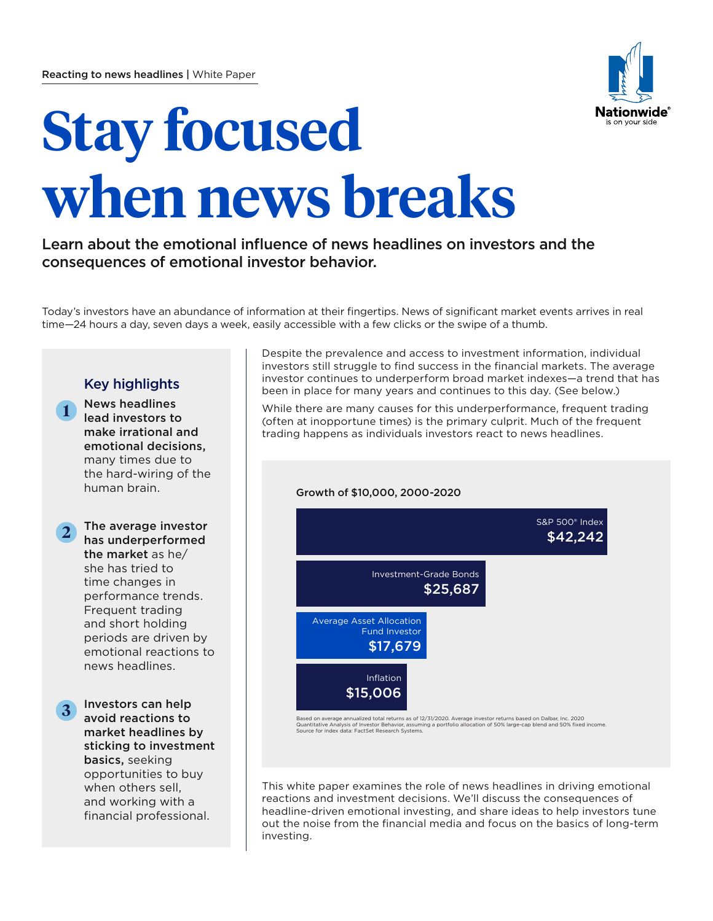

# **Stay focused when news breaks**

# Learn about the emotional influence of news headlines on investors and the consequences of emotional investor behavior.

Today's investors have an abundance of information at their fingertips. News of significant market events arrives in real time—24 hours a day, seven days a week, easily accessible with a few clicks or the swipe of a thumb.

# Key highlights

**1** News headlines lead investors to make irrational and emotional decisions, many times due to the hard-wiring of the human brain.

**2** The average investor has underperformed the market as he/ she has tried to time changes in performance trends. Frequent trading and short holding periods are driven by emotional reactions to news headlines.

**3** Investors can help avoid reactions to market headlines by sticking to investment basics, seeking opportunities to buy when others sell, and working with a financial professional.

Despite the prevalence and access to investment information, individual investors still struggle to find success in the financial markets. The average investor continues to underperform broad market indexes—a trend that has been in place for many years and continues to this day. (See below.)

While there are many causes for this underperformance, frequent trading (often at inopportune times) is the primary culprit. Much of the frequent trading happens as individuals investors react to news headlines.



This white paper examines the role of news headlines in driving emotional reactions and investment decisions. We'll discuss the consequences of headline-driven emotional investing, and share ideas to help investors tune out the noise from the financial media and focus on the basics of long-term investing.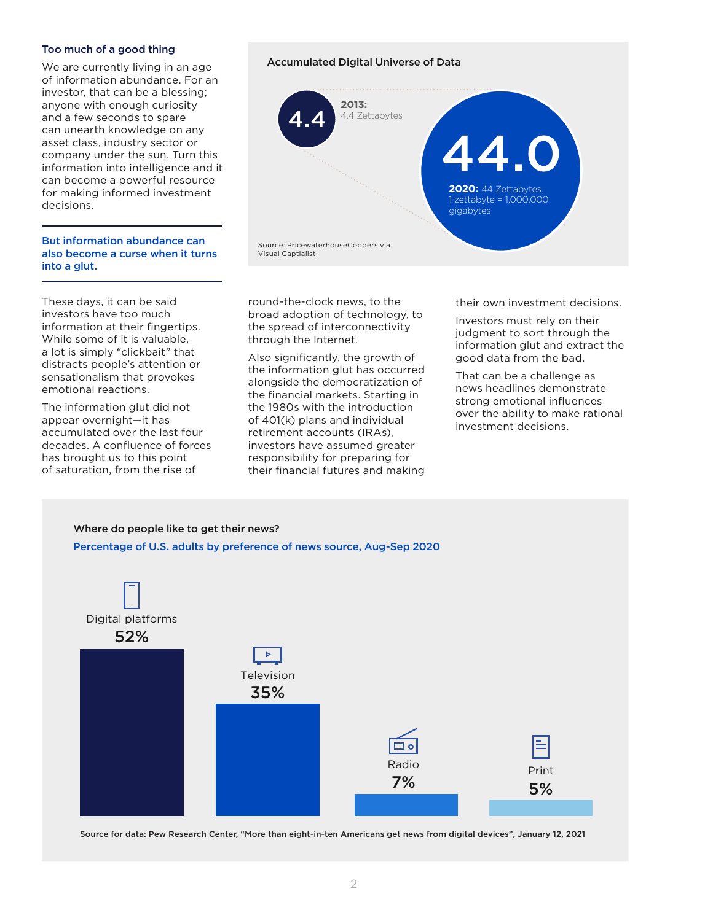#### Too much of a good thing

We are currently living in an age of information abundance. For an investor, that can be a blessing; anyone with enough curiosity and a few seconds to spare can unearth knowledge on any asset class, industry sector or company under the sun. Turn this information into intelligence and it can become a powerful resource for making informed investment decisions.

#### But information abundance can also become a curse when it turns into a glut.

These days, it can be said investors have too much information at their fingertips. While some of it is valuable, a lot is simply "clickbait" that distracts people's attention or sensationalism that provokes emotional reactions.

The information glut did not appear overnight—it has accumulated over the last four decades. A confluence of forces has brought us to this point of saturation, from the rise of



round-the-clock news, to the broad adoption of technology, to the spread of interconnectivity through the Internet.

Also significantly, the growth of the information glut has occurred alongside the democratization of the financial markets. Starting in the 1980s with the introduction of 401(k) plans and individual retirement accounts (IRAs), investors have assumed greater responsibility for preparing for their financial futures and making their own investment decisions.

Investors must rely on their judgment to sort through the information glut and extract the good data from the bad.

That can be a challenge as news headlines demonstrate strong emotional influences over the ability to make rational investment decisions.



Source for data: Pew Research Center, "More than eight-in-ten Americans get news from digital devices", January 12, 2021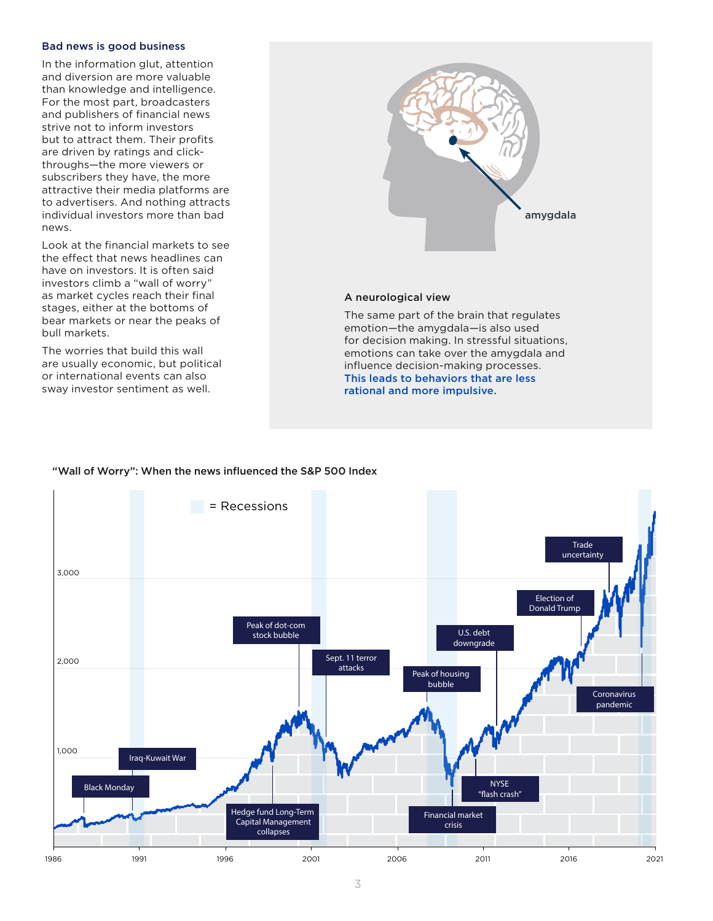## Bad news is good business

In the information glut, attention and diversion are more valuable than knowledge and intelligence. For the most part, broadcasters and publishers of financial news strive not to inform investors but to attract them. Their profits are driven by ratings and clickthroughs—the more viewers or subscribers they have, the more attractive their media platforms are to advertisers. And nothing attracts individual investors more than bad news.

Look at the financial markets to see the effect that news headlines can have on investors. It is often said investors climb a "wall of worry" as market cycles reach their final stages, either at the bottoms of bear markets or near the peaks of bull markets.

The worries that build this wall are usually economic, but political or international events can also sway investor sentiment as well.



### A neurological view

The same part of the brain that regulates emotion—the amygdala—is also used for decision making. In stressful situations, emotions can take over the amygdala and influence decision-making processes. This leads to behaviors that are less rational and more impulsive.

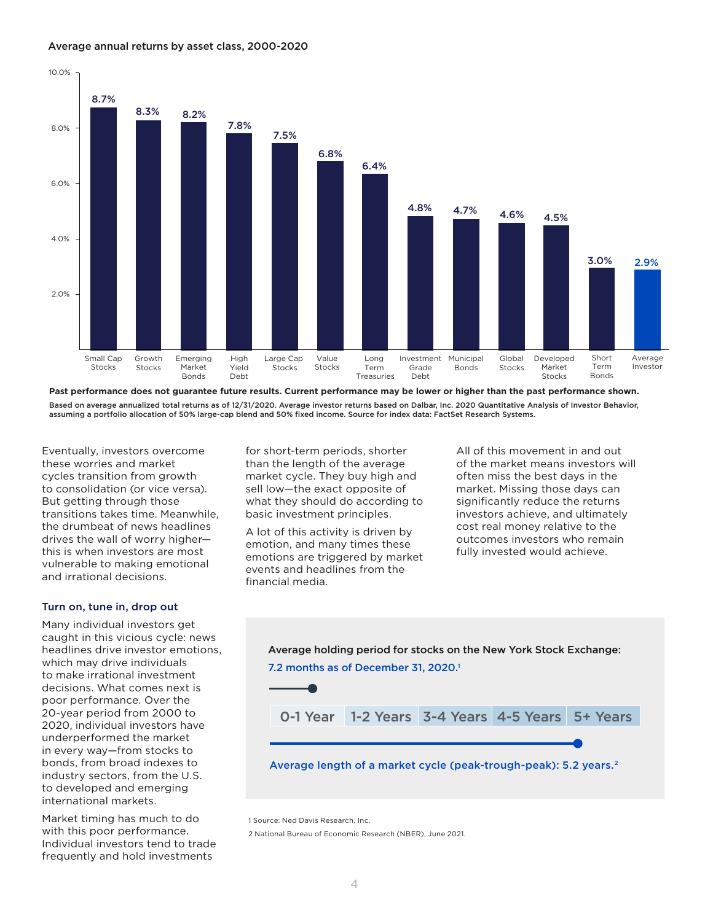# Average annual returns by asset class, 2000-2020 **Average annual returns by asset class, 2000-2020**



Based on average annualized total returns as of 12/31/2020. Average investor returns based on Dalbar, Inc. 2020 Quantitative Analysis of Investor Behavior, assuming a portfolio allocation of 50% large-cap blend and 50% fixed income. Source for index data: FactSet Research Systems.

Eventually, investors overcome these worries and market cycles transition from growth to consolidation (or vice versa). But getting through those transitions takes time. Meanwhile, the drumbeat of news headlines drives the wall of worry higher this is when investors are most vulnerable to making emotional and irrational decisions.

# Turn on, tune in, drop out

Many individual investors get caught in this vicious cycle: news headlines drive investor emotions, which may drive individuals to make irrational investment decisions. What comes next is poor performance. Over the 20-year period from 2000 to 2020, individual investors have underperformed the market in every way—from stocks to bonds, from broad indexes to industry sectors, from the U.S. to developed and emerging international markets.

Market timing has much to do with this poor performance. Individual investors tend to trade frequently and hold investments

for short-term periods, shorter than the length of the average market cycle. They buy high and sell low—the exact opposite of what they should do according to basic investment principles.

A lot of this activity is driven by emotion, and many times these emotions are triggered by market events and headlines from the financial media.

All of this movement in and out of the market means investors will often miss the best days in the market. Missing those days can significantly reduce the returns investors achieve, and ultimately cost real money relative to the outcomes investors who remain fully invested would achieve.

Average holding period for stocks on the New York Stock Exchange: 7.2 months as of December 31, 2020.<sup>1</sup>



1 Source: Ned Davis Research, Inc.

2 National Bureau of Economic Research (NBER), June 2021.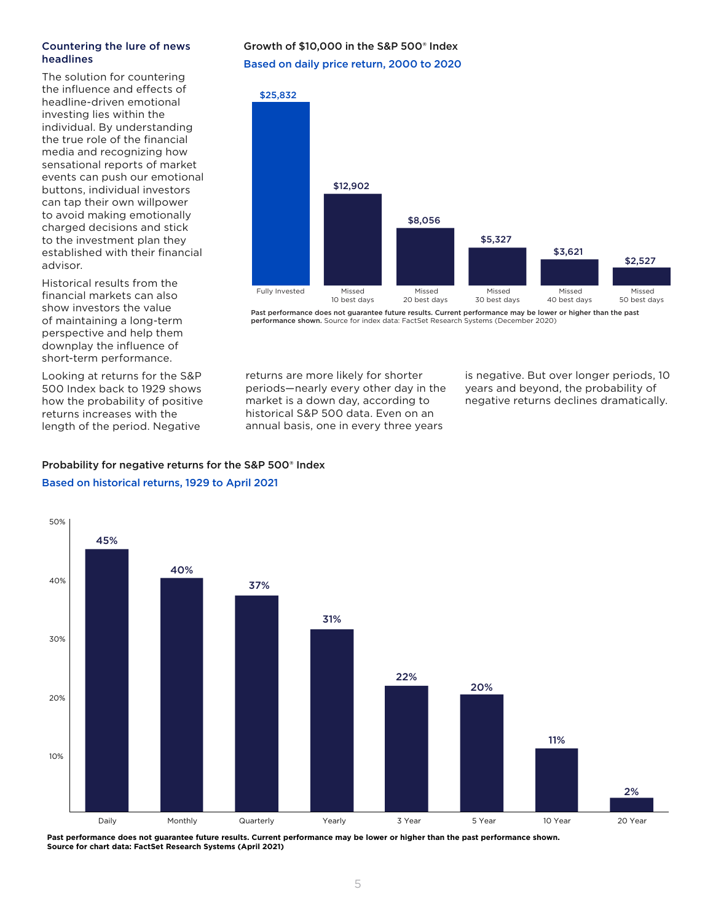### Countering the lure of news headlines

The solution for countering the influence and effects of headline-driven emotional investing lies within the individual. By understanding the true role of the financial media and recognizing how sensational reports of market events can push our emotional buttons, individual investors can tap their own willpower to avoid making emotionally charged decisions and stick to the investment plan they established with their financial advisor.

Historical results from the financial markets can also show investors the value of maintaining a long-term perspective and help them downplay the influence of short-term performance.

Looking at returns for the S&P 500 Index back to 1929 shows how the probability of positive returns increases with the length of the period. Negative

# Growth of \$10,000 in the S&P 500® Index Based on daily price return, 2000 to 2020



Past performance does not guarantee future results. Current performance may be lower or higher than the past performance shown. Source for index data: FactSet Research Systems (December 2020)

returns are more likely for shorter periods—nearly every other day in the market is a down day, according to historical S&P 500 data. Even on an annual basis, one in every three years

is negative. But over longer periods, 10 years and beyond, the probability of negative returns declines dramatically.

# Probability for negative returns for the S&P 500® Index Based on historical returns, 1929 to April 2021



**Past performance does not guarantee future results. Current performance may be lower or higher than the past performance shown. Source for chart data: FactSet Research Systems (April 2021)**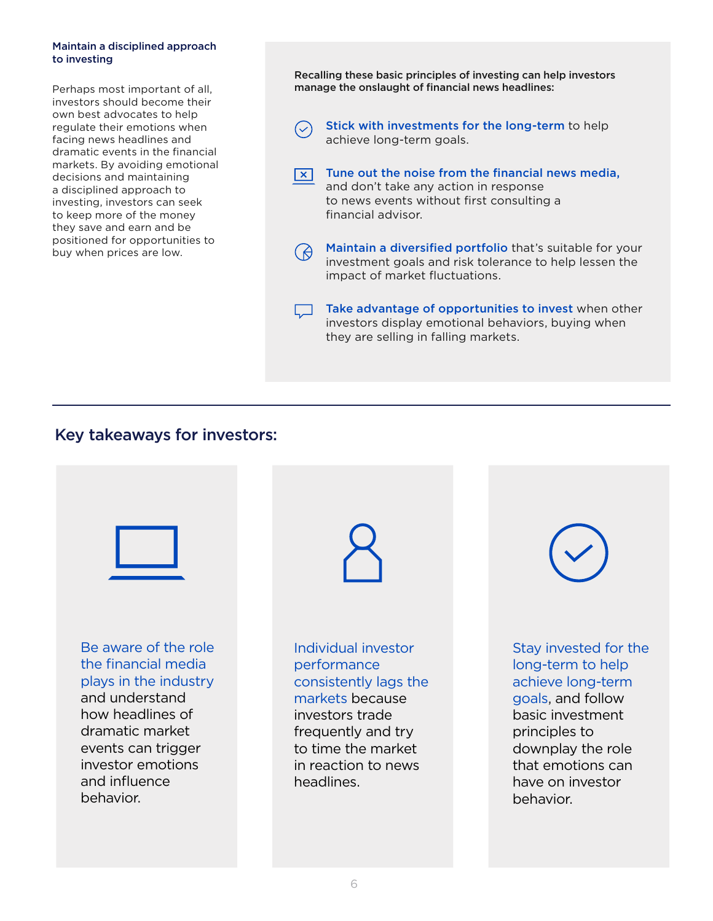#### Maintain a disciplined approach to investing

Perhaps most important of all, investors should become their own best advocates to help regulate their emotions when facing news headlines and dramatic events in the financial markets. By avoiding emotional decisions and maintaining a disciplined approach to investing, investors can seek to keep more of the money they save and earn and be positioned for opportunities to buy when prices are low.

Recalling these basic principles of investing can help investors manage the onslaught of financial news headlines:

Stick with investments for the long-term to help  $(\vee)$ achieve long-term goals.

- $\sqrt{x}$  Tune out the noise from the financial news media, and don't take any action in response to news events without first consulting a financial advisor.
- Maintain a diversified portfolio that's suitable for your  $\Theta$ investment goals and risk tolerance to help lessen the impact of market fluctuations.
	- Take advantage of opportunities to invest when other investors display emotional behaviors, buying when they are selling in falling markets.

# Key takeaways for investors: